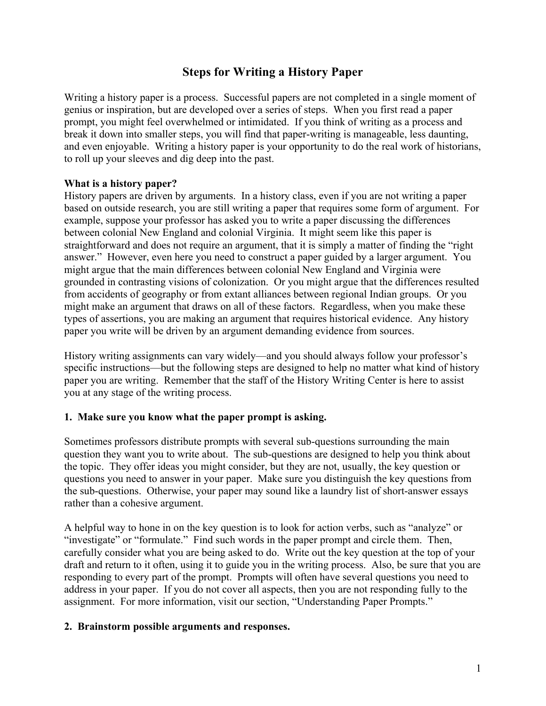# **Steps for Writing a History Paper**

Writing a history paper is a process. Successful papers are not completed in a single moment of genius or inspiration, but are developed over a series of steps. When you first read a paper prompt, you might feel overwhelmed or intimidated. If you think of writing as a process and break it down into smaller steps, you will find that paper-writing is manageable, less daunting, and even enjoyable. Writing a history paper is your opportunity to do the real work of historians, to roll up your sleeves and dig deep into the past.

### **What is a history paper?**

History papers are driven by arguments. In a history class, even if you are not writing a paper based on outside research, you are still writing a paper that requires some form of argument. For example, suppose your professor has asked you to write a paper discussing the differences between colonial New England and colonial Virginia. It might seem like this paper is straightforward and does not require an argument, that it is simply a matter of finding the "right answer." However, even here you need to construct a paper guided by a larger argument. You might argue that the main differences between colonial New England and Virginia were grounded in contrasting visions of colonization. Or you might argue that the differences resulted from accidents of geography or from extant alliances between regional Indian groups. Or you might make an argument that draws on all of these factors. Regardless, when you make these types of assertions, you are making an argument that requires historical evidence. Any history paper you write will be driven by an argument demanding evidence from sources.

History writing assignments can vary widely—and you should always follow your professor's specific instructions—but the following steps are designed to help no matter what kind of history paper you are writing. Remember that the staff of the History Writing Center is here to assist you at any stage of the writing process.

### **1. Make sure you know what the paper prompt is asking.**

Sometimes professors distribute prompts with several sub-questions surrounding the main question they want you to write about. The sub-questions are designed to help you think about the topic. They offer ideas you might consider, but they are not, usually, the key question or questions you need to answer in your paper. Make sure you distinguish the key questions from the sub-questions. Otherwise, your paper may sound like a laundry list of short-answer essays rather than a cohesive argument.

A helpful way to hone in on the key question is to look for action verbs, such as "analyze" or "investigate" or "formulate." Find such words in the paper prompt and circle them. Then, carefully consider what you are being asked to do. Write out the key question at the top of your draft and return to it often, using it to guide you in the writing process. Also, be sure that you are responding to every part of the prompt. Prompts will often have several questions you need to address in your paper. If you do not cover all aspects, then you are not responding fully to the assignment. For more information, visit our section, "Understanding Paper Prompts."

### **2. Brainstorm possible arguments and responses.**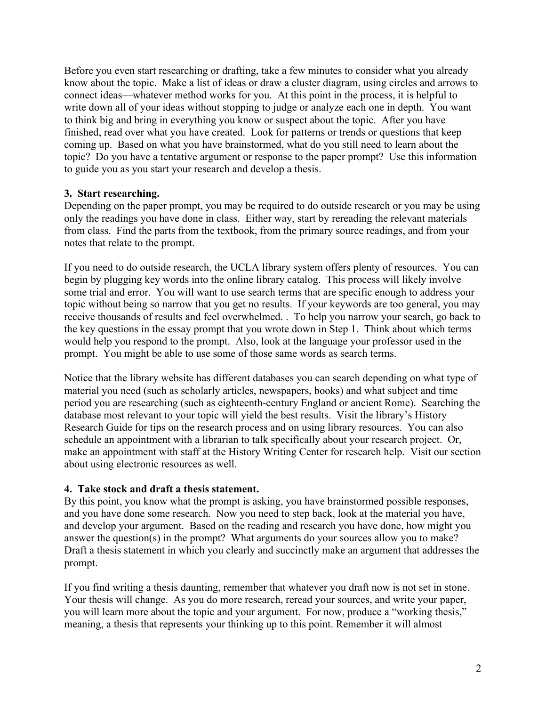Before you even start researching or drafting, take a few minutes to consider what you already know about the topic. Make a list of ideas or draw a cluster diagram, using circles and arrows to connect ideas—whatever method works for you. At this point in the process, it is helpful to write down all of your ideas without stopping to judge or analyze each one in depth. You want to think big and bring in everything you know or suspect about the topic. After you have finished, read over what you have created. Look for patterns or trends or questions that keep coming up. Based on what you have brainstormed, what do you still need to learn about the topic? Do you have a tentative argument or response to the paper prompt? Use this information to guide you as you start your research and develop a thesis.

### **3. Start researching.**

Depending on the paper prompt, you may be required to do outside research or you may be using only the readings you have done in class. Either way, start by rereading the relevant materials from class. Find the parts from the textbook, from the primary source readings, and from your notes that relate to the prompt.

If you need to do outside research, the UCLA library system offers plenty of resources. You can begin by plugging key words into the online library catalog. This process will likely involve some trial and error. You will want to use search terms that are specific enough to address your topic without being so narrow that you get no results. If your keywords are too general, you may receive thousands of results and feel overwhelmed. . To help you narrow your search, go back to the key questions in the essay prompt that you wrote down in Step 1. Think about which terms would help you respond to the prompt. Also, look at the language your professor used in the prompt. You might be able to use some of those same words as search terms.

Notice that the library website has different databases you can search depending on what type of material you need (such as scholarly articles, newspapers, books) and what subject and time period you are researching (such as eighteenth-century England or ancient Rome). Searching the database most relevant to your topic will yield the best results. Visit the library's History Research Guide for tips on the research process and on using library resources. You can also schedule an appointment with a librarian to talk specifically about your research project. Or, make an appointment with staff at the History Writing Center for research help. Visit our section about using electronic resources as well.

#### **4. Take stock and draft a thesis statement.**

By this point, you know what the prompt is asking, you have brainstormed possible responses, and you have done some research. Now you need to step back, look at the material you have, and develop your argument. Based on the reading and research you have done, how might you answer the question(s) in the prompt? What arguments do your sources allow you to make? Draft a thesis statement in which you clearly and succinctly make an argument that addresses the prompt.

If you find writing a thesis daunting, remember that whatever you draft now is not set in stone. Your thesis will change. As you do more research, reread your sources, and write your paper, you will learn more about the topic and your argument. For now, produce a "working thesis," meaning, a thesis that represents your thinking up to this point. Remember it will almost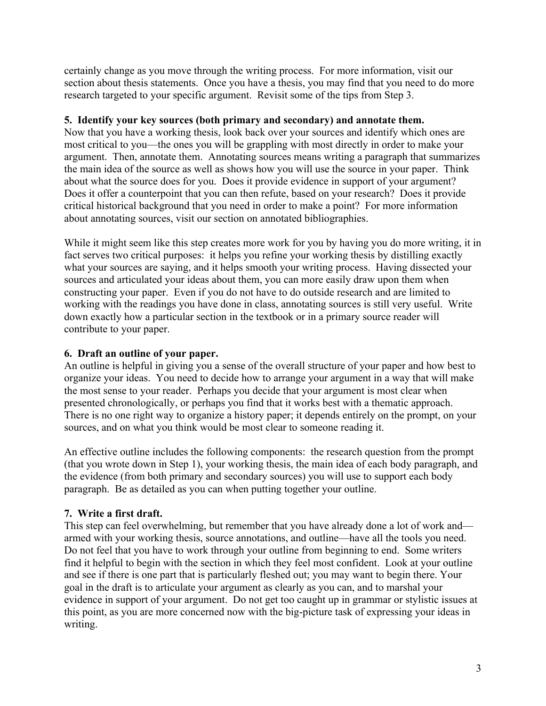certainly change as you move through the writing process. For more information, visit our section about thesis statements. Once you have a thesis, you may find that you need to do more research targeted to your specific argument. Revisit some of the tips from Step 3.

### **5. Identify your key sources (both primary and secondary) and annotate them.**

Now that you have a working thesis, look back over your sources and identify which ones are most critical to you—the ones you will be grappling with most directly in order to make your argument. Then, annotate them. Annotating sources means writing a paragraph that summarizes the main idea of the source as well as shows how you will use the source in your paper. Think about what the source does for you. Does it provide evidence in support of your argument? Does it offer a counterpoint that you can then refute, based on your research? Does it provide critical historical background that you need in order to make a point? For more information about annotating sources, visit our section on annotated bibliographies.

While it might seem like this step creates more work for you by having you do more writing, it in fact serves two critical purposes: it helps you refine your working thesis by distilling exactly what your sources are saying, and it helps smooth your writing process. Having dissected your sources and articulated your ideas about them, you can more easily draw upon them when constructing your paper. Even if you do not have to do outside research and are limited to working with the readings you have done in class, annotating sources is still very useful. Write down exactly how a particular section in the textbook or in a primary source reader will contribute to your paper.

# **6. Draft an outline of your paper.**

An outline is helpful in giving you a sense of the overall structure of your paper and how best to organize your ideas. You need to decide how to arrange your argument in a way that will make the most sense to your reader. Perhaps you decide that your argument is most clear when presented chronologically, or perhaps you find that it works best with a thematic approach. There is no one right way to organize a history paper; it depends entirely on the prompt, on your sources, and on what you think would be most clear to someone reading it.

An effective outline includes the following components: the research question from the prompt (that you wrote down in Step 1), your working thesis, the main idea of each body paragraph, and the evidence (from both primary and secondary sources) you will use to support each body paragraph. Be as detailed as you can when putting together your outline.

### **7. Write a first draft.**

This step can feel overwhelming, but remember that you have already done a lot of work and armed with your working thesis, source annotations, and outline—have all the tools you need. Do not feel that you have to work through your outline from beginning to end. Some writers find it helpful to begin with the section in which they feel most confident. Look at your outline and see if there is one part that is particularly fleshed out; you may want to begin there. Your goal in the draft is to articulate your argument as clearly as you can, and to marshal your evidence in support of your argument. Do not get too caught up in grammar or stylistic issues at this point, as you are more concerned now with the big-picture task of expressing your ideas in writing.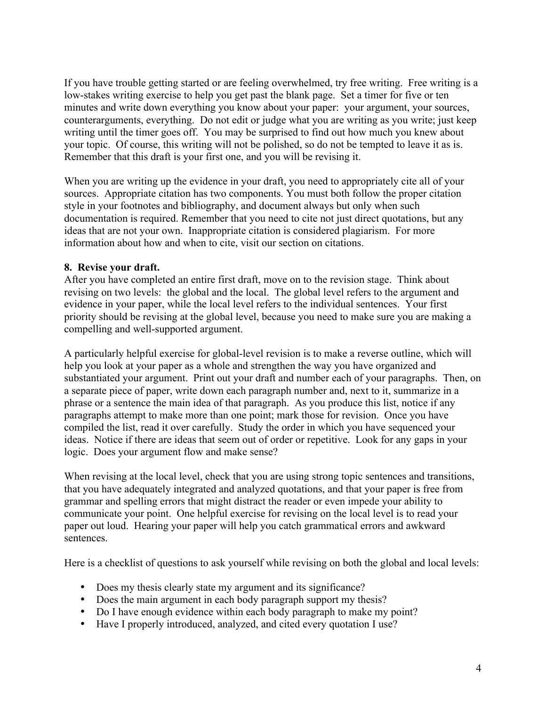If you have trouble getting started or are feeling overwhelmed, try free writing. Free writing is a low-stakes writing exercise to help you get past the blank page. Set a timer for five or ten minutes and write down everything you know about your paper: your argument, your sources, counterarguments, everything. Do not edit or judge what you are writing as you write; just keep writing until the timer goes off. You may be surprised to find out how much you knew about your topic. Of course, this writing will not be polished, so do not be tempted to leave it as is. Remember that this draft is your first one, and you will be revising it.

When you are writing up the evidence in your draft, you need to appropriately cite all of your sources. Appropriate citation has two components. You must both follow the proper citation style in your footnotes and bibliography, and document always but only when such documentation is required. Remember that you need to cite not just direct quotations, but any ideas that are not your own. Inappropriate citation is considered plagiarism. For more information about how and when to cite, visit our section on citations.

### **8. Revise your draft.**

After you have completed an entire first draft, move on to the revision stage. Think about revising on two levels: the global and the local. The global level refers to the argument and evidence in your paper, while the local level refers to the individual sentences. Your first priority should be revising at the global level, because you need to make sure you are making a compelling and well-supported argument.

A particularly helpful exercise for global-level revision is to make a reverse outline, which will help you look at your paper as a whole and strengthen the way you have organized and substantiated your argument. Print out your draft and number each of your paragraphs. Then, on a separate piece of paper, write down each paragraph number and, next to it, summarize in a phrase or a sentence the main idea of that paragraph. As you produce this list, notice if any paragraphs attempt to make more than one point; mark those for revision. Once you have compiled the list, read it over carefully. Study the order in which you have sequenced your ideas. Notice if there are ideas that seem out of order or repetitive. Look for any gaps in your logic. Does your argument flow and make sense?

When revising at the local level, check that you are using strong topic sentences and transitions, that you have adequately integrated and analyzed quotations, and that your paper is free from grammar and spelling errors that might distract the reader or even impede your ability to communicate your point. One helpful exercise for revising on the local level is to read your paper out loud. Hearing your paper will help you catch grammatical errors and awkward sentences.

Here is a checklist of questions to ask yourself while revising on both the global and local levels:

- Does my thesis clearly state my argument and its significance?
- Does the main argument in each body paragraph support my thesis?
- Do I have enough evidence within each body paragraph to make my point?
- Have I properly introduced, analyzed, and cited every quotation I use?